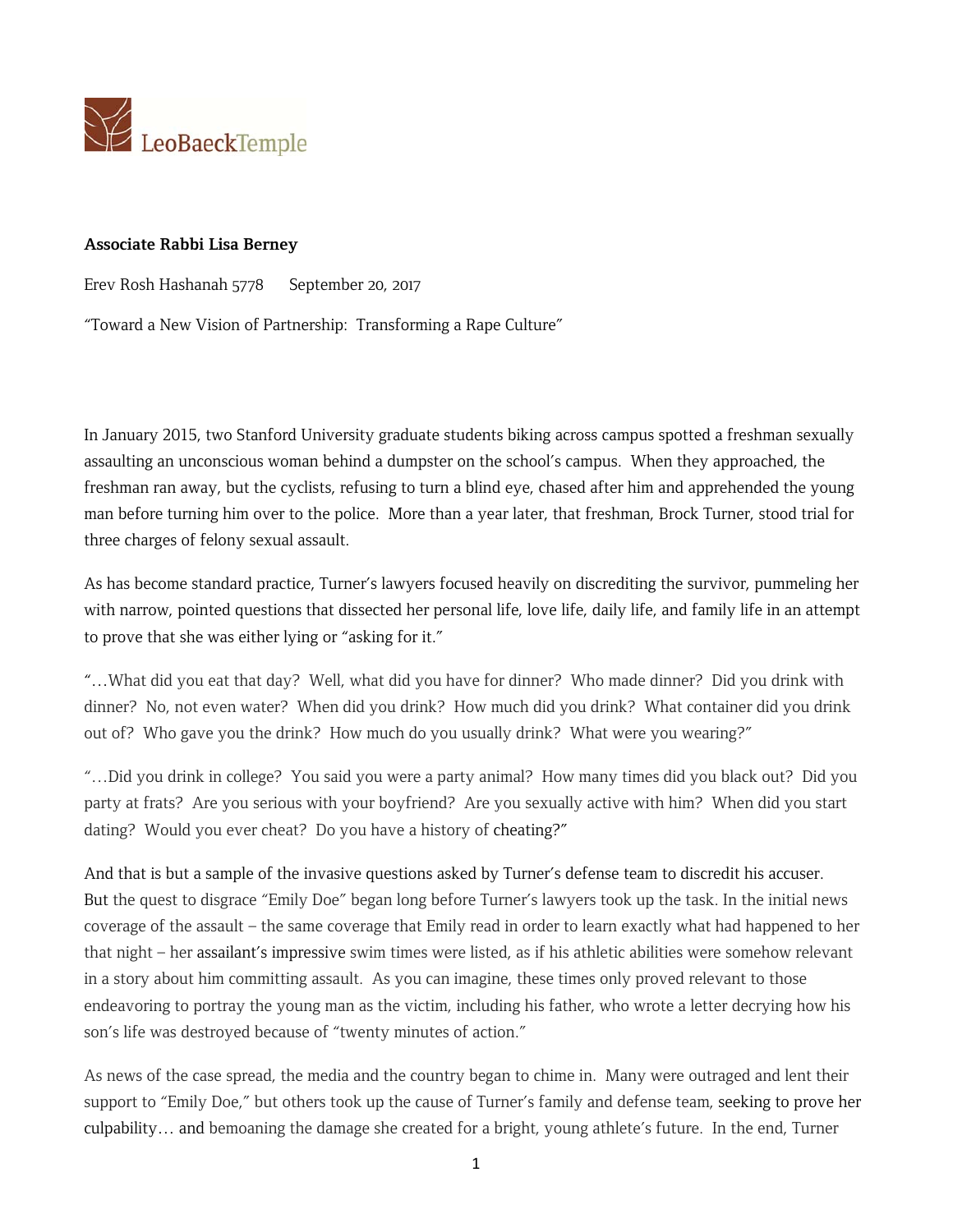

## **Associate Rabbi Lisa Berney**

Erev Rosh Hashanah 5778 September 20, 2017

"Toward a New Vision of Partnership: Transforming a Rape Culture"

In January 2015, two Stanford University graduate students biking across campus spotted a freshman sexually assaulting an unconscious woman behind a dumpster on the school's campus. When they approached, the freshman ran away, but the cyclists, refusing to turn a blind eye, chased after him and apprehended the young man before turning him over to the police. More than a year later, that freshman, Brock Turner, stood trial for three charges of felony sexual assault.

As has become standard practice, Turner's lawyers focused heavily on discrediting the survivor, pummeling her with narrow, pointed questions that dissected her personal life, love life, daily life, and family life in an attempt to prove that she was either lying or "asking for it."

"…What did you eat that day? Well, what did you have for dinner? Who made dinner? Did you drink with dinner? No, not even water? When did you drink? How much did you drink? What container did you drink out of? Who gave you the drink? How much do you usually drink? What were you wearing?"

"…Did you drink in college? You said you were a party animal? How many times did you black out? Did you party at frats? Are you serious with your boyfriend? Are you sexually active with him? When did you start dating? Would you ever cheat? Do you have a history of cheating?"

And that is but a sample of the invasive questions asked by Turner's defense team to discredit his accuser. But the quest to disgrace "Emily Doe" began long before Turner's lawyers took up the task. In the initial news coverage of the assault – the same coverage that Emily read in order to learn exactly what had happened to her that night – her assailant's impressive swim times were listed, as if his athletic abilities were somehow relevant in a story about him committing assault. As you can imagine, these times only proved relevant to those endeavoring to portray the young man as the victim, including his father, who wrote a letter decrying how his son's life was destroyed because of "twenty minutes of action."

As news of the case spread, the media and the country began to chime in. Many were outraged and lent their support to "Emily Doe," but others took up the cause of Turner's family and defense team, seeking to prove her culpability… and bemoaning the damage she created for a bright, young athlete's future. In the end, Turner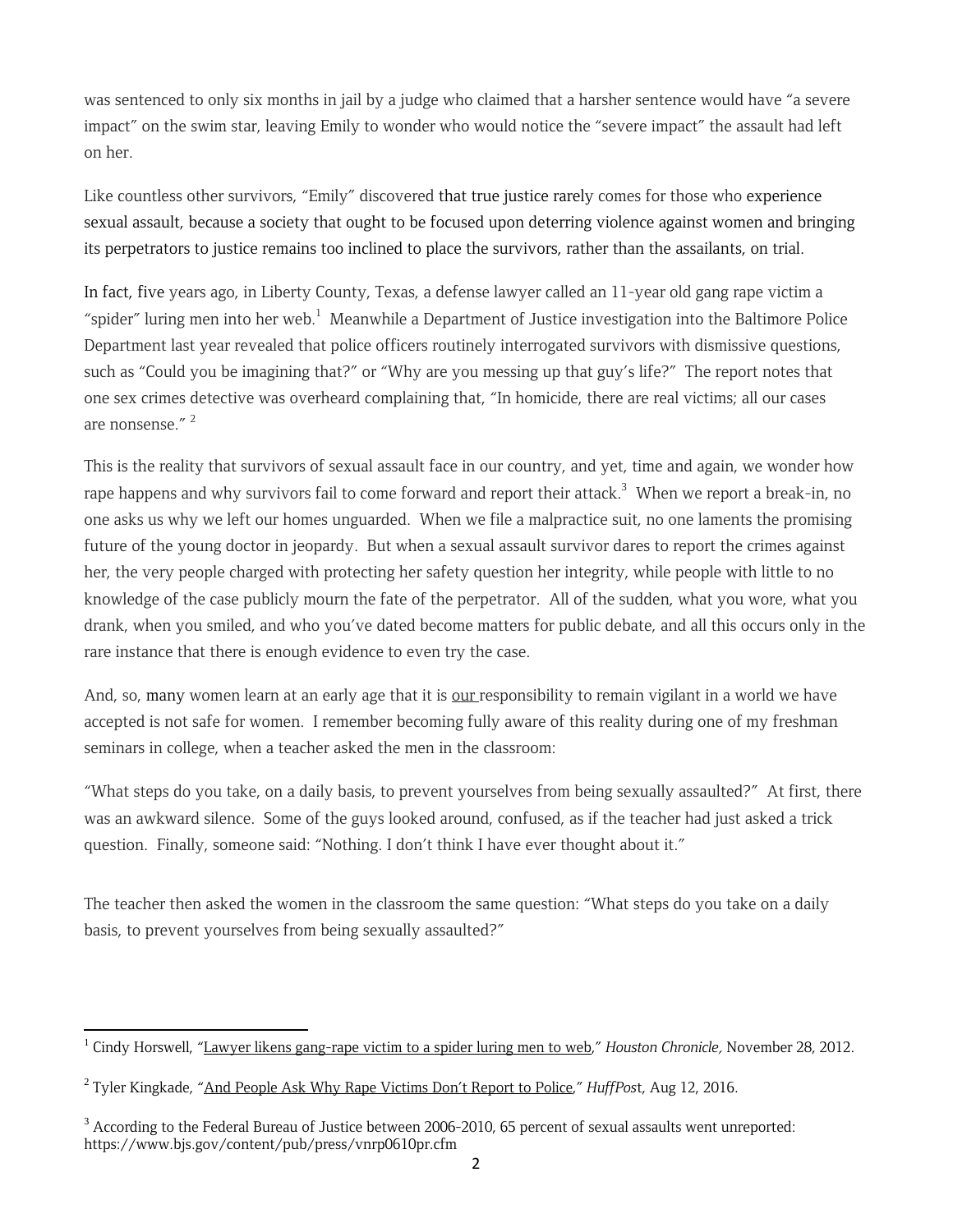was sentenced to only six months in jail by a judge who claimed that a harsher sentence would have "a severe impact" on the swim star, leaving Emily to wonder who would notice the "severe impact" the assault had left on her.

Like countless other survivors, "Emily" discovered that true justice rarely comes for those who experience sexual assault, because a society that ought to be focused upon deterring violence against women and bringing its perpetrators to justice remains too inclined to place the survivors, rather than the assailants, on trial.

In fact, five years ago, in Liberty County, Texas, a defense lawyer called an 11-year old gang rape victim a "spider" luring men into her web.<sup>1</sup> Meanwhile a Department of Justice investigation into the Baltimore Police Department last year revealed that police officers routinely interrogated survivors with dismissive questions, such as "Could you be imagining that?" or "Why are you messing up that guy's life?" The report notes that one sex crimes detective was overheard complaining that, "In homicide, there are real victims; all our cases are nonsense." $2$ 

This is the reality that survivors of sexual assault face in our country, and yet, time and again, we wonder how rape happens and why survivors fail to come forward and report their attack.<sup>3</sup> When we report a break-in, no one asks us why we left our homes unguarded. When we file a malpractice suit, no one laments the promising future of the young doctor in jeopardy. But when a sexual assault survivor dares to report the crimes against her, the very people charged with protecting her safety question her integrity, while people with little to no knowledge of the case publicly mourn the fate of the perpetrator. All of the sudden, what you wore, what you drank, when you smiled, and who you've dated become matters for public debate, and all this occurs only in the rare instance that there is enough evidence to even try the case.

And, so, many women learn at an early age that it is our responsibility to remain vigilant in a world we have accepted is not safe for women. I remember becoming fully aware of this reality during one of my freshman seminars in college, when a teacher asked the men in the classroom:

"What steps do you take, on a daily basis, to prevent yourselves from being sexually assaulted?" At first, there was an awkward silence. Some of the guys looked around, confused, as if the teacher had just asked a trick question. Finally, someone said: "Nothing. I don't think I have ever thought about it."

The teacher then asked the women in the classroom the same question: "What steps do you take on a daily basis, to prevent yourselves from being sexually assaulted?"

 <sup>1</sup> Cindy Horswell, "Lawyer likens gang-rape victim to a spider luring men to web," *Houston Chronicle*, November 28, 2012.

<sup>2</sup> Tyler Kingkade, "And People Ask Why Rape Victims Don't Report to Police," *HuffPos*t, Aug 12, 2016.

<sup>&</sup>lt;sup>3</sup> According to the Federal Bureau of Justice between 2006-2010, 65 percent of sexual assaults went unreported: https://www.bjs.gov/content/pub/press/vnrp0610pr.cfm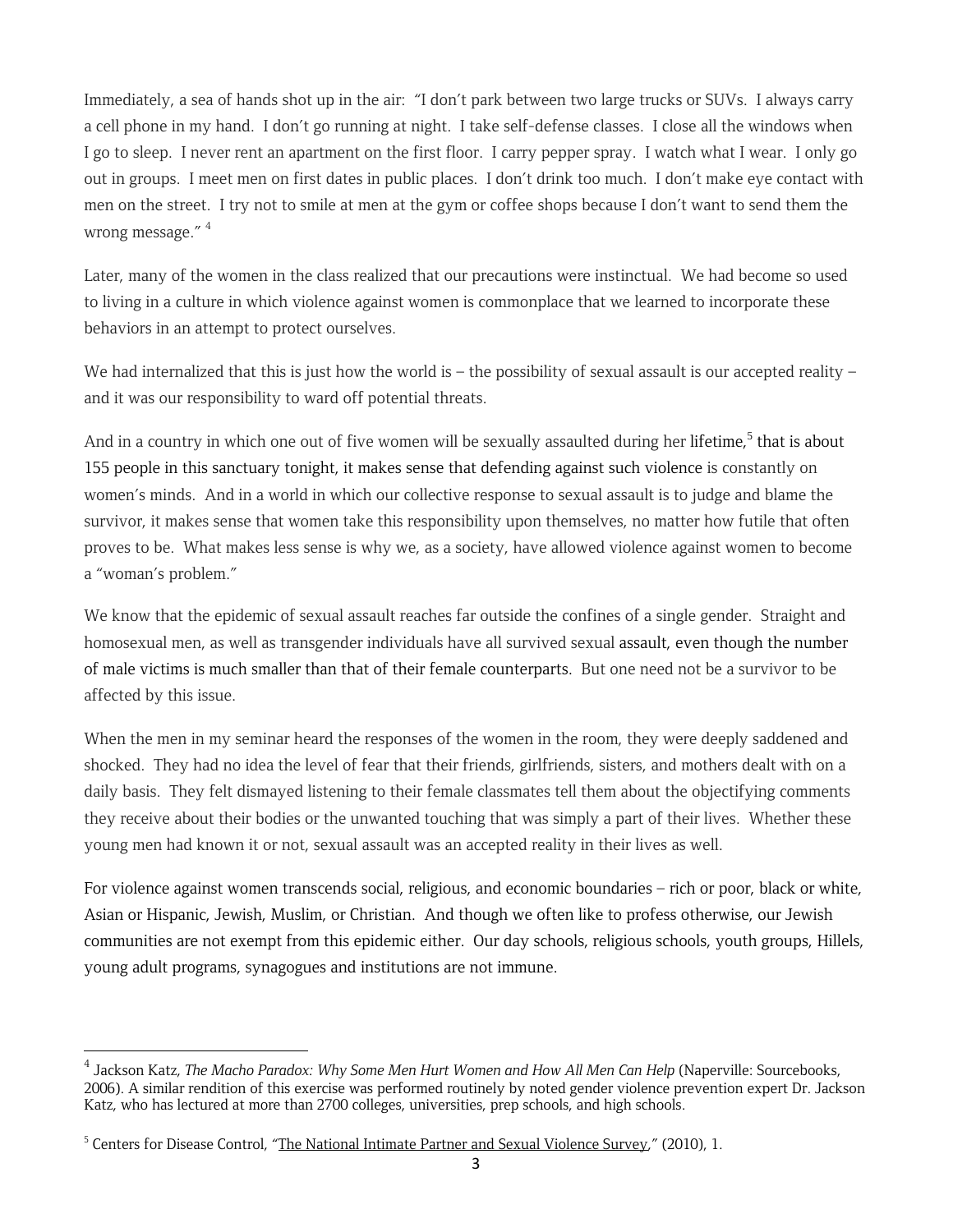Immediately, a sea of hands shot up in the air: "I don't park between two large trucks or SUVs. I always carry a cell phone in my hand. I don't go running at night. I take self-defense classes. I close all the windows when I go to sleep. I never rent an apartment on the first floor. I carry pepper spray. I watch what I wear. I only go out in groups. I meet men on first dates in public places. I don't drink too much. I don't make eye contact with men on the street. I try not to smile at men at the gym or coffee shops because I don't want to send them the wrong message." <sup>4</sup>

Later, many of the women in the class realized that our precautions were instinctual. We had become so used to living in a culture in which violence against women is commonplace that we learned to incorporate these behaviors in an attempt to protect ourselves.

We had internalized that this is just how the world is – the possibility of sexual assault is our accepted reality – and it was our responsibility to ward off potential threats.

And in a country in which one out of five women will be sexually assaulted during her lifetime,<sup>5</sup> that is about 155 people in this sanctuary tonight, it makes sense that defending against such violence is constantly on women's minds. And in a world in which our collective response to sexual assault is to judge and blame the survivor, it makes sense that women take this responsibility upon themselves, no matter how futile that often proves to be. What makes less sense is why we, as a society, have allowed violence against women to become a "woman's problem."

We know that the epidemic of sexual assault reaches far outside the confines of a single gender. Straight and homosexual men, as well as transgender individuals have all survived sexual assault, even though the number of male victims is much smaller than that of their female counterparts. But one need not be a survivor to be affected by this issue.

When the men in my seminar heard the responses of the women in the room, they were deeply saddened and shocked. They had no idea the level of fear that their friends, girlfriends, sisters, and mothers dealt with on a daily basis. They felt dismayed listening to their female classmates tell them about the objectifying comments they receive about their bodies or the unwanted touching that was simply a part of their lives. Whether these young men had known it or not, sexual assault was an accepted reality in their lives as well.

For violence against women transcends social, religious, and economic boundaries – rich or poor, black or white, Asian or Hispanic, Jewish, Muslim, or Christian. And though we often like to profess otherwise, our Jewish communities are not exempt from this epidemic either. Our day schools, religious schools, youth groups, Hillels, young adult programs, synagogues and institutions are not immune.

<sup>&</sup>lt;sup>4</sup> Jackson Katz, *The Macho Paradox: Why Some Men Hurt Women and How All Men Can Help* (Naperville: Sourcebooks, 2006). A similar rendition of this exercise was performed routinely by noted gender violence prevention expert Dr. Jackson Katz, who has lectured at more than 2700 colleges, universities, prep schools, and high schools.

<sup>&</sup>lt;sup>5</sup> Centers for Disease Control, "The National Intimate Partner and Sexual Violence Survey," (2010), 1.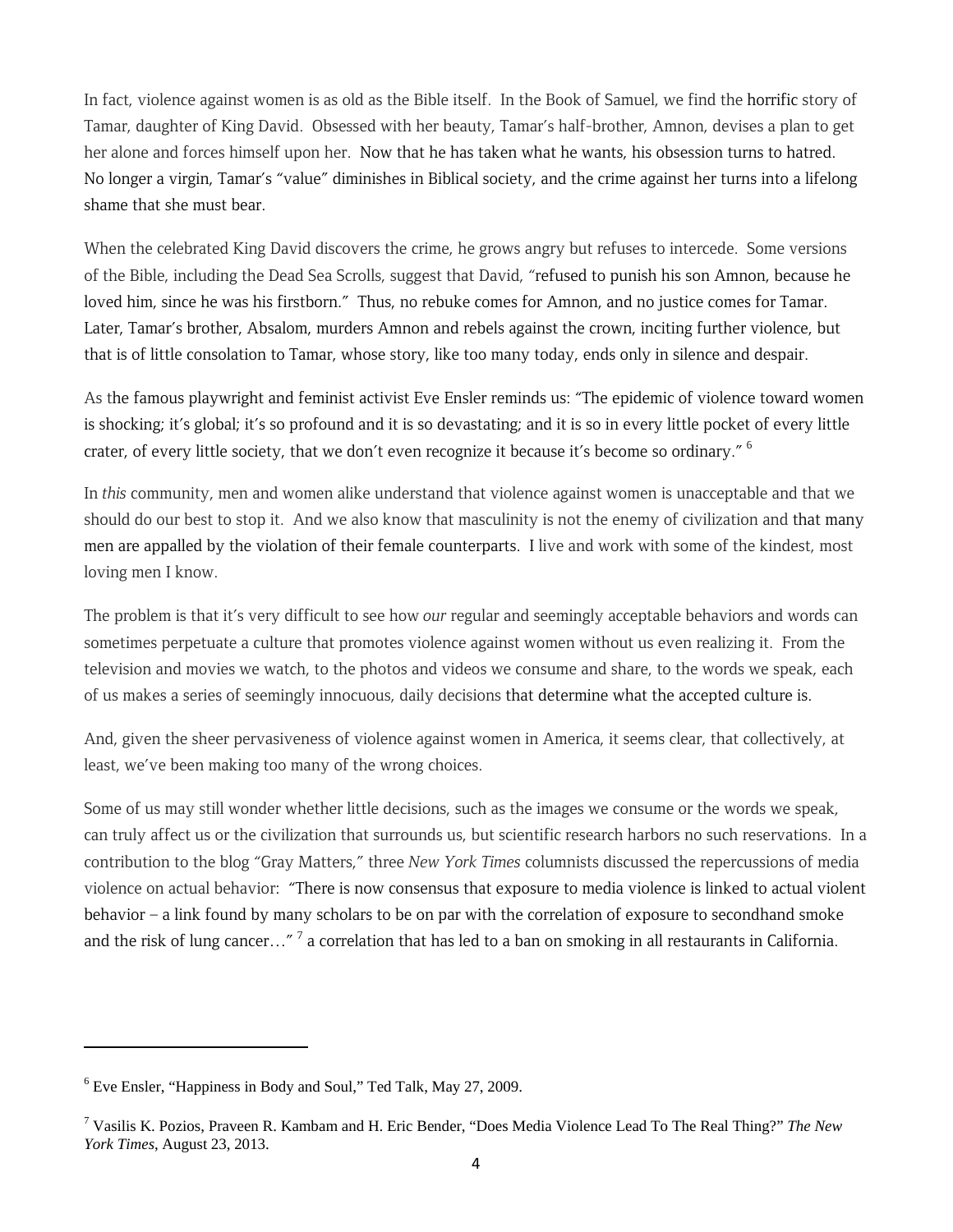In fact, violence against women is as old as the Bible itself. In the Book of Samuel, we find the horrific story of Tamar, daughter of King David. Obsessed with her beauty, Tamar's half-brother, Amnon, devises a plan to get her alone and forces himself upon her. Now that he has taken what he wants, his obsession turns to hatred. No longer a virgin, Tamar's "value" diminishes in Biblical society, and the crime against her turns into a lifelong shame that she must bear.

When the celebrated King David discovers the crime, he grows angry but refuses to intercede. Some versions of the Bible, including the Dead Sea Scrolls, suggest that David, "refused to punish his son Amnon, because he loved him, since he was his firstborn." Thus, no rebuke comes for Amnon, and no justice comes for Tamar. Later, Tamar's brother, Absalom, murders Amnon and rebels against the crown, inciting further violence, but that is of little consolation to Tamar, whose story, like too many today, ends only in silence and despair.

As the famous playwright and feminist activist Eve Ensler reminds us: "The epidemic of violence toward women is shocking; it's global; it's so profound and it is so devastating; and it is so in every little pocket of every little crater, of every little society, that we don't even recognize it because it's become so ordinary." <sup>6</sup>

In *this* community, men and women alike understand that violence against women is unacceptable and that we should do our best to stop it. And we also know that masculinity is not the enemy of civilization and that many men are appalled by the violation of their female counterparts. I live and work with some of the kindest, most loving men I know.

The problem is that it's very difficult to see how *our* regular and seemingly acceptable behaviors and words can sometimes perpetuate a culture that promotes violence against women without us even realizing it. From the television and movies we watch, to the photos and videos we consume and share, to the words we speak, each of us makes a series of seemingly innocuous, daily decisions that determine what the accepted culture is.

And, given the sheer pervasiveness of violence against women in America, it seems clear, that collectively, at least, we've been making too many of the wrong choices.

Some of us may still wonder whether little decisions, such as the images we consume or the words we speak, can truly affect us or the civilization that surrounds us, but scientific research harbors no such reservations. In a contribution to the blog "Gray Matters," three *New York Times* columnists discussed the repercussions of media violence on actual behavior: "There is now consensus that exposure to media violence is linked to actual violent behavior – a link found by many scholars to be on par with the correlation of exposure to secondhand smoke and the risk of lung cancer..."<sup>7</sup> a correlation that has led to a ban on smoking in all restaurants in California.

<sup>&</sup>lt;sup>6</sup> Eve Ensler, "Happiness in Body and Soul," Ted Talk, May 27, 2009.

<sup>7</sup> Vasilis K. Pozios, Praveen R. Kambam and H. Eric Bender, "Does Media Violence Lead To The Real Thing?" *The New York Times*, August 23, 2013.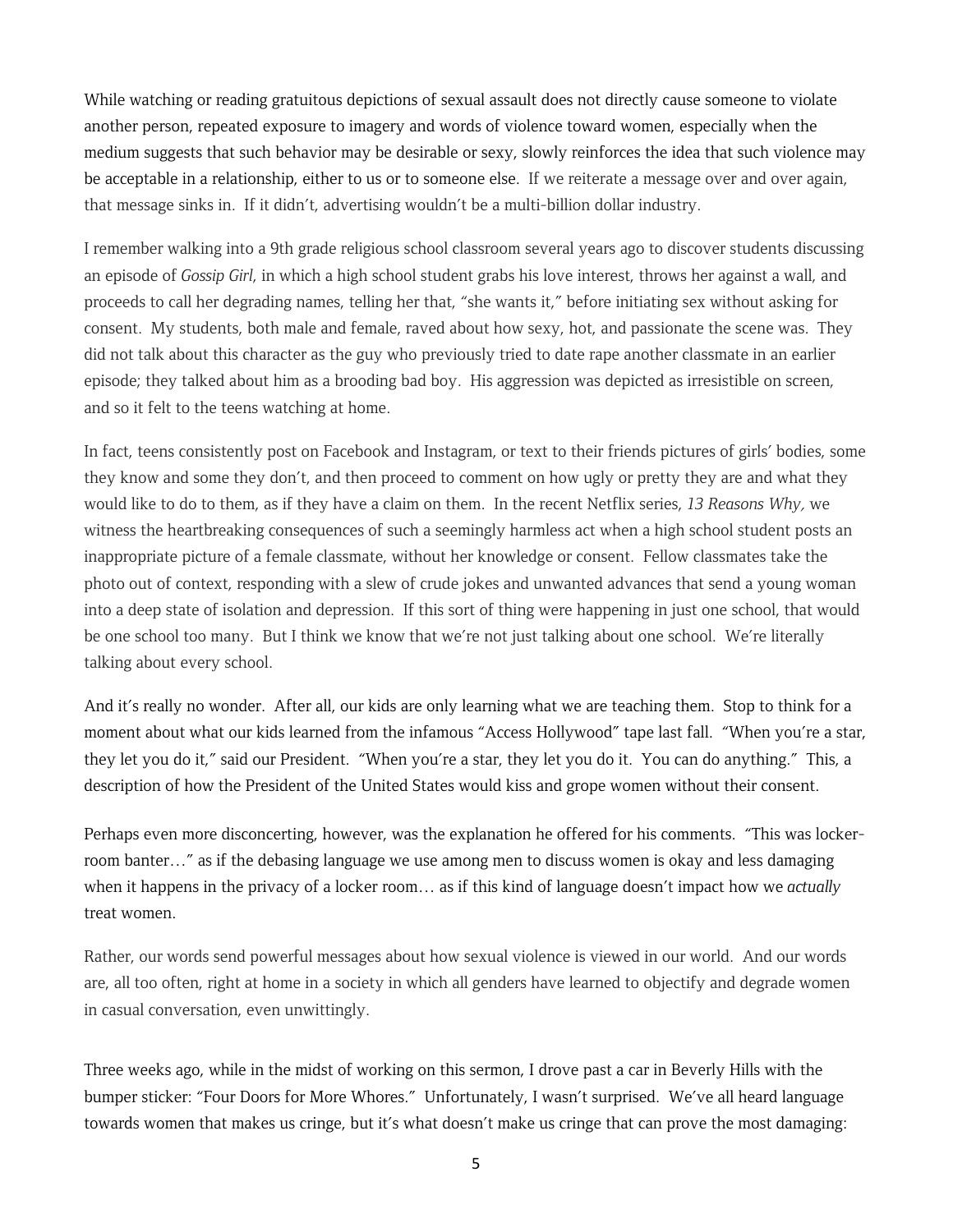While watching or reading gratuitous depictions of sexual assault does not directly cause someone to violate another person, repeated exposure to imagery and words of violence toward women, especially when the medium suggests that such behavior may be desirable or sexy, slowly reinforces the idea that such violence may be acceptable in a relationship, either to us or to someone else. If we reiterate a message over and over again, that message sinks in. If it didn't, advertising wouldn't be a multi-billion dollar industry.

I remember walking into a 9th grade religious school classroom several years ago to discover students discussing an episode of *Gossip Girl*, in which a high school student grabs his love interest, throws her against a wall, and proceeds to call her degrading names, telling her that, "she wants it," before initiating sex without asking for consent. My students, both male and female, raved about how sexy, hot, and passionate the scene was. They did not talk about this character as the guy who previously tried to date rape another classmate in an earlier episode; they talked about him as a brooding bad boy. His aggression was depicted as irresistible on screen, and so it felt to the teens watching at home.

In fact, teens consistently post on Facebook and Instagram, or text to their friends pictures of girls' bodies, some they know and some they don't, and then proceed to comment on how ugly or pretty they are and what they would like to do to them, as if they have a claim on them. In the recent Netflix series, *13 Reasons Why*, we witness the heartbreaking consequences of such a seemingly harmless act when a high school student posts an inappropriate picture of a female classmate, without her knowledge or consent. Fellow classmates take the photo out of context, responding with a slew of crude jokes and unwanted advances that send a young woman into a deep state of isolation and depression. If this sort of thing were happening in just one school, that would be one school too many. But I think we know that we're not just talking about one school. We're literally talking about every school.

And it's really no wonder. After all, our kids are only learning what we are teaching them. Stop to think for a moment about what our kids learned from the infamous "Access Hollywood" tape last fall. "When you're a star, they let you do it," said our President. "When you're a star, they let you do it. You can do anything." This, a description of how the President of the United States would kiss and grope women without their consent.

Perhaps even more disconcerting, however, was the explanation he offered for his comments. "This was lockerroom banter…" as if the debasing language we use among men to discuss women is okay and less damaging when it happens in the privacy of a locker room… as if this kind of language doesn't impact how we *actually* treat women.

Rather, our words send powerful messages about how sexual violence is viewed in our world. And our words are, all too often, right at home in a society in which all genders have learned to objectify and degrade women in casual conversation, even unwittingly.

Three weeks ago, while in the midst of working on this sermon, I drove past a car in Beverly Hills with the bumper sticker: "Four Doors for More Whores." Unfortunately, I wasn't surprised. We've all heard language towards women that makes us cringe, but it's what doesn't make us cringe that can prove the most damaging: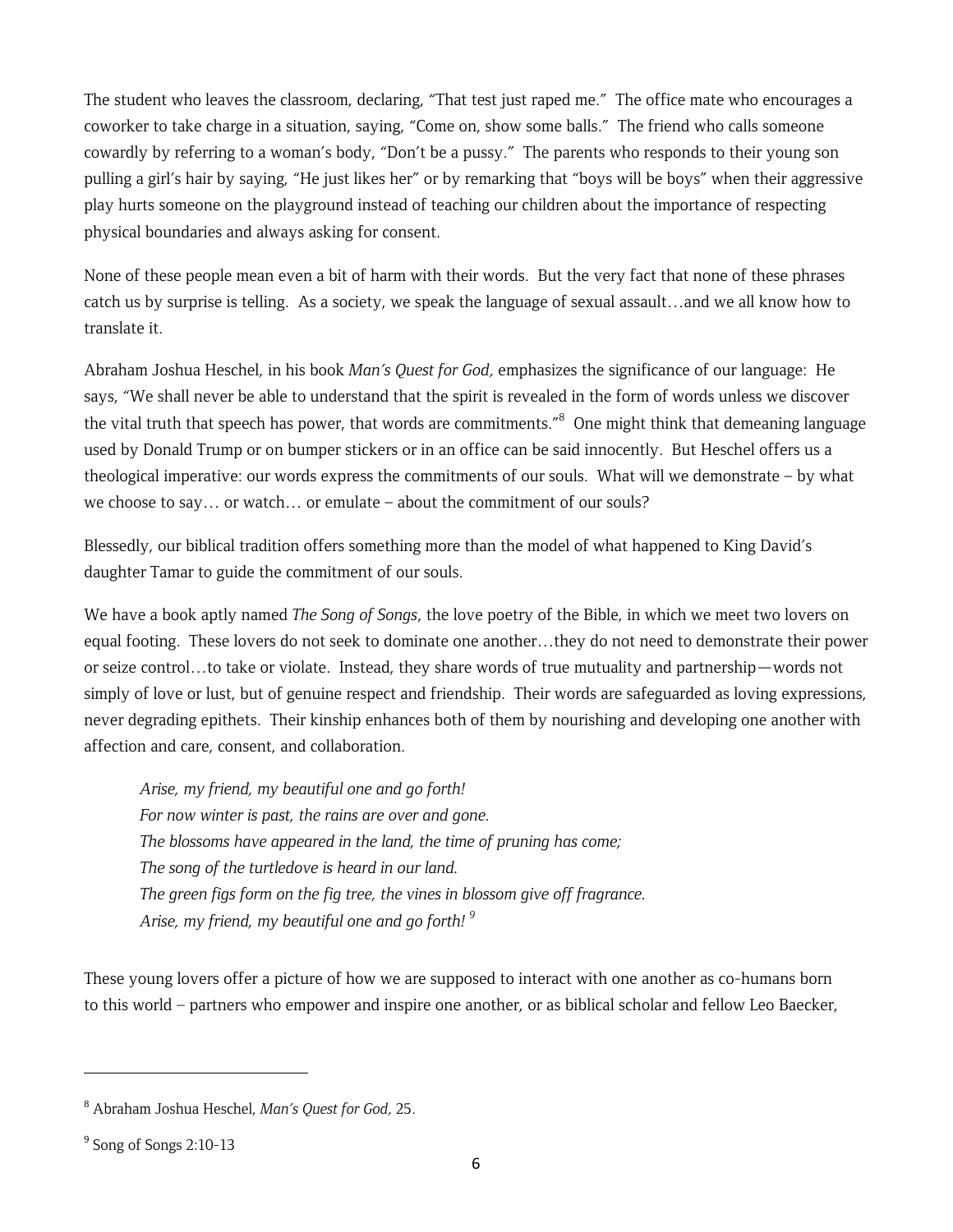The student who leaves the classroom, declaring, "That test just raped me." The office mate who encourages a coworker to take charge in a situation, saying, "Come on, show some balls." The friend who calls someone cowardly by referring to a woman's body, "Don't be a pussy." The parents who responds to their young son pulling a girl's hair by saying, "He just likes her" or by remarking that "boys will be boys" when their aggressive play hurts someone on the playground instead of teaching our children about the importance of respecting physical boundaries and always asking for consent.

None of these people mean even a bit of harm with their words. But the very fact that none of these phrases catch us by surprise is telling. As a society, we speak the language of sexual assault…and we all know how to translate it.

Abraham Joshua Heschel, in his book *Man's Quest for God*, emphasizes the significance of our language: He says, "We shall never be able to understand that the spirit is revealed in the form of words unless we discover the vital truth that speech has power, that words are commitments.<sup>"8</sup> One might think that demeaning language used by Donald Trump or on bumper stickers or in an office can be said innocently. But Heschel offers us a theological imperative: our words express the commitments of our souls. What will we demonstrate – by what we choose to say… or watch… or emulate – about the commitment of our souls?

Blessedly, our biblical tradition offers something more than the model of what happened to King David's daughter Tamar to guide the commitment of our souls.

We have a book aptly named *The Song of Songs*, the love poetry of the Bible, in which we meet two lovers on equal footing. These lovers do not seek to dominate one another…they do not need to demonstrate their power or seize control…to take or violate. Instead, they share words of true mutuality and partnership—words not simply of love or lust, but of genuine respect and friendship. Their words are safeguarded as loving expressions, never degrading epithets. Their kinship enhances both of them by nourishing and developing one another with affection and care, consent, and collaboration.

*Arise, my friend, my beautiful one and go forth! For now winter is past, the rains are over and gone. The blossoms have appeared in the land, the time of pruning has come; The song of the turtledove is heard in our land. The green figs form on the fig tree, the vines in blossom give off fragrance. Arise, my friend, my beautiful one and go forth! 9*

These young lovers offer a picture of how we are supposed to interact with one another as co-humans born to this world – partners who empower and inspire one another, or as biblical scholar and fellow Leo Baecker,

<sup>8</sup> Abraham Joshua Heschel, *Man's Quest for God*, 25.

<sup>9</sup> Song of Songs 2:10-13